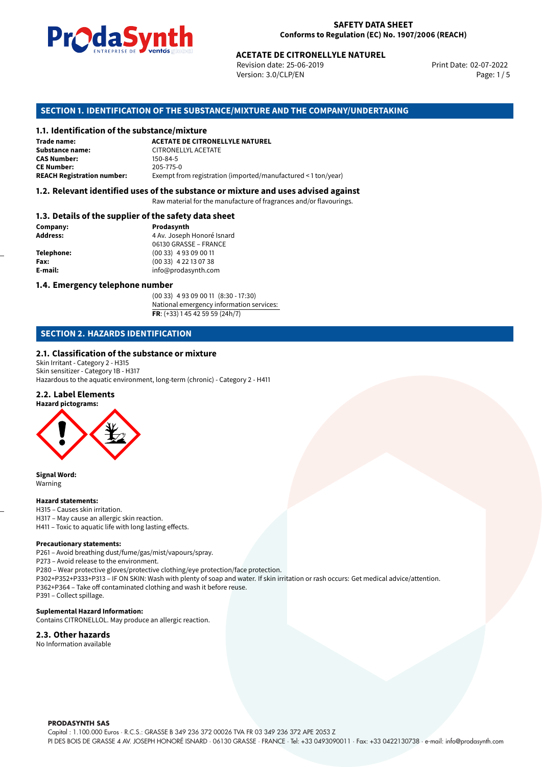

#### **SAFETY DATA SHEET Conforms to Regulation (EC) No. 1907/2006 (REACH)**

Revision date: 25-06-2019 Version: 3.0/CLP/EN Page: 1 / 5

Print Date: 02-07-2022

# **ACETATE DE CITRONELLYLE NATUREL<br>
Revision date: 25-06-2019<br>
Version: 3.0/CLP/EN<br>
<b>OF THE SUBSTANCE/MIXTURE AND THE COMPANY/UNDERT/<br>
tance/mixture<br>
ACETATE DE CITRONELLYLE NATUREL SECTION 1. IDENTIFICATION OF THE SUBSTANCE/MIXTURE AND THE COMPANY/UNDERTAKING**

#### **1.1. Identification of the substance/mixture**

| Trade name:                       | <b>ACETATE DE CITRONELLYLE NATUREL</b>                        |
|-----------------------------------|---------------------------------------------------------------|
| Substance name:                   | CITRONELLYL ACETATE                                           |
| <b>CAS Number:</b>                | 150-84-5                                                      |
| <b>CE Number:</b>                 | 205-775-0                                                     |
| <b>REACH Registration number:</b> | Exempt from registration (imported/manufactured < 1 ton/year) |

#### **1.2. Relevant identified uses of the substance or mixture and uses advised against**

Raw material for the manufacture of fragrances and/or flavourings.

#### **1.3. Details of the supplier of the safety data sheet**

| Company:          | Prodasynth                 |
|-------------------|----------------------------|
| <b>Address:</b>   | 4 Av. Joseph Honoré Isnard |
|                   | 06130 GRASSE - FRANCE      |
| <b>Telephone:</b> | $(0033)$ 4 93 09 00 11     |
| Fax:              | $(0033)$ 4 22 13 07 38     |
| E-mail:           | info@prodasynth.com        |
|                   |                            |

#### **1.4. Emergency telephone number**

(00 33) 4 93 09 00 11 (8:30 - 17:30) National emergency information services: **FR**: (+33) 1 45 42 59 59 (24h/7)

#### **SECTION 2. HAZARDS IDENTIFICATION**

#### **2.1. Classification of the substance or mixture**

Skin Irritant - Category 2 - H315 Skin sensitizer - Category 1B - H317 Hazardous to the aquatic environment, long-term (chronic) - Category 2 - H411

#### **2.2. Label Elements**



**Signal Word:** Warning

#### **Hazard statements:**

H315 – Causes skin irritation. H317 – May cause an allergic skin reaction. H411 – Toxic to aquatic life with long lasting effects.

#### **Precautionary statements:**

P261 – Avoid breathing dust/fume/gas/mist/vapours/spray.

P273 – Avoid release to the environment.

P280 – Wear protective gloves/protective clothing/eye protection/face protection. P302+P352+P333+P313 – IF ON SKIN: Wash with plenty of soap and water. If skin irritation or rash occurs: Get medical advice/attention. P362+P364 – Take off contaminated clothing and wash it before reuse. P391 – Collect spillage.

#### **Suplemental Hazard Information:**

Contains CITRONELLOL. May produce an allergic reaction.

#### **2.3. Other hazards**

No Information available

**PRODASYNTH SAS** 

Capital : 1.100.000 Euros · R.C.S.: GRASSE B 349 236 372 00026 TVA FR 03 349 236 372 APE 2053 Z PI DES BOIS DE GRASSE 4 AV. JOSEPH HONORÉ ISNARD · 06130 GRASSE · FRANCE · Tel: +33 0493090011 · Fax: +33 0422130738 · e-mail: info@prodasynth.com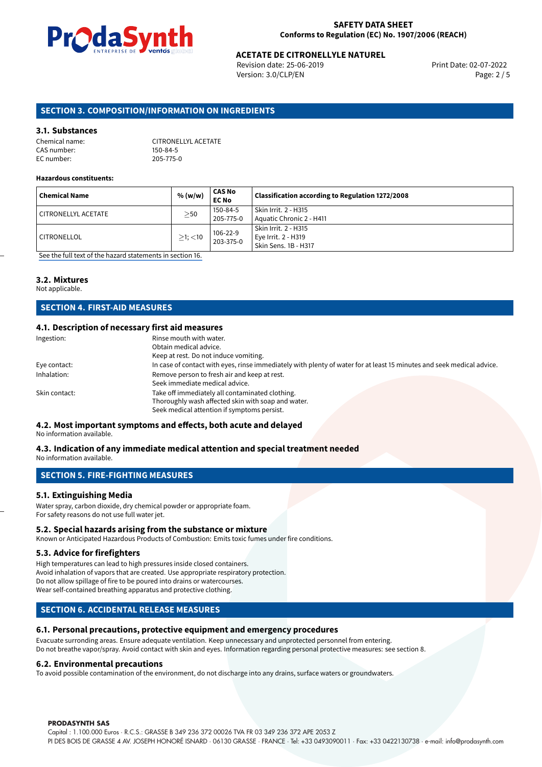

#### **SAFETY DATA SHEET Conforms to Regulation (EC) No. 1907/2006 (REACH)**

## **ACETATE DE CITRONELLYLE NATUREL**<br>
Revision date: 25-06-2019<br>
Print Date: 02-07-2022

Revision date: 25-06-2019 Version: 3.0/CLP/EN Page: 2 / 5

#### **SECTION 3. COMPOSITION/INFORMATION ON INGREDIENTS**

#### **3.1. Substances**

| Chemical name: | CITRONELLYL ACETATE |
|----------------|---------------------|
| CAS number:    | 150-84-5            |
| EC number:     | 205-775-0           |

#### **Hazardous constituents:**

| <b>Chemical Name</b> | % (w/w)       | <b>CAS No</b><br><b>EC No</b> | Classification according to Regulation 1272/2008                    |
|----------------------|---------------|-------------------------------|---------------------------------------------------------------------|
| CITRONELLYL ACETATE  | $\geq$ 50     | 150-84-5<br>205-775-0         | Skin Irrit. 2 - H315<br>Aquatic Chronic 2 - H411                    |
| ' CITRONELLOL        | $>1$ ; $<$ 10 | 106-22-9<br>203-375-0         | Skin Irrit. 2 - H315<br>Eye Irrit. 2 - H319<br>Skin Sens. 1B - H317 |

[See the full text of the hazard statements in section 16.](#page-4-0)

#### **3.2. Mixtures**

Not applicable.

#### **SECTION 4. FIRST-AID MEASURES**

#### **4.1. Description of necessary first aid measures**

| Ingestion:    | Rinse mouth with water.                                                                                               |
|---------------|-----------------------------------------------------------------------------------------------------------------------|
|               | Obtain medical advice.                                                                                                |
|               | Keep at rest. Do not induce vomiting.                                                                                 |
| Eye contact:  | In case of contact with eyes, rinse immediately with plenty of water for at least 15 minutes and seek medical advice. |
| Inhalation:   | Remove person to fresh air and keep at rest.                                                                          |
|               | Seek immediate medical advice.                                                                                        |
| Skin contact: | Take off immediately all contaminated clothing.                                                                       |
|               | Thoroughly wash affected skin with soap and water.                                                                    |
|               | Seek medical attention if symptoms persist.                                                                           |

### **4.2. Most important symptoms and effects, both acute and delayed**

No information available.

#### **4.3. Indication of any immediate medical attention and special treatment needed** No information available.

## **SECTION 5. FIRE-FIGHTING MEASURES**

#### **5.1. Extinguishing Media**

Water spray, carbon dioxide, dry chemical powder or appropriate foam. For safety reasons do not use full water jet.

#### **5.2. Special hazards arising from the substance or mixture**

Known or Anticipated Hazardous Products of Combustion: Emits toxic fumes under fire conditions.

#### **5.3. Advice for firefighters**

High temperatures can lead to high pressures inside closed containers. Avoid inhalation of vapors that are created. Use appropriate respiratory protection. Do not allow spillage of fire to be poured into drains or watercourses. Wear self-contained breathing apparatus and protective clothing.

#### **SECTION 6. ACCIDENTAL RELEASE MEASURES**

#### **6.1. Personal precautions, protective equipment and emergency procedures**

Evacuate surronding areas. Ensure adequate ventilation. Keep unnecessary and unprotected personnel from entering. Do not breathe vapor/spray. Avoid contact with skin and eyes. Information regarding personal protective measures: see section 8.

#### **6.2. Environmental precautions**

To avoid possible contamination of the environment, do not discharge into any drains, surface waters or groundwaters.

#### **PRODASYNTH SAS**

Capital : 1.100.000 Euros · R.C.S.: GRASSE B 349 236 372 00026 TVA FR 03 349 236 372 APE 2053 Z PI DES BOIS DE GRASSE 4 AV. JOSEPH HONORÉ ISNARD · 06130 GRASSE · FRANCE · Tel: +33 0493090011 · Fax: +33 0422130738 · e-mail: info@prodasynth.com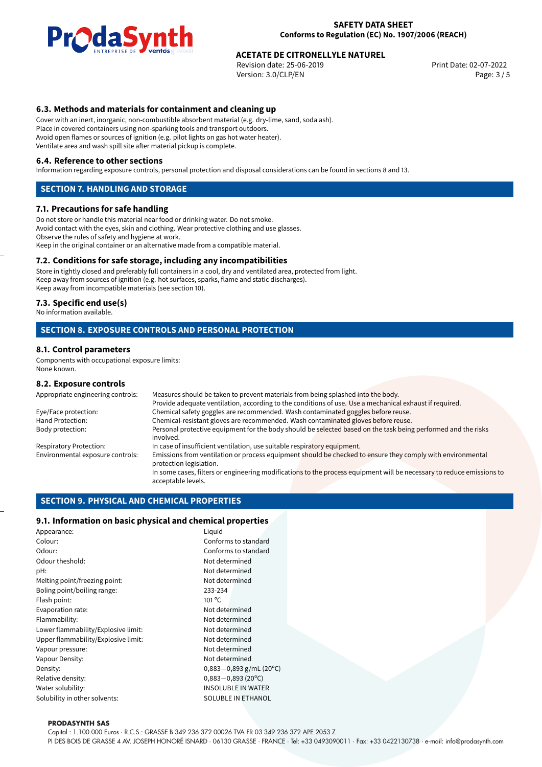

## **ACETATE DE CITRONELLYLE NATUREL**<br>
Revision date: 25-06-2019<br>
Print Date: 02-07-2022

Revision date: 25-06-2019 Version: 3.0/CLP/EN Page: 3 / 5

#### **6.3. Methods and materials for containment and cleaning up**

Cover with an inert, inorganic, non-combustible absorbent material (e.g. dry-lime, sand, soda ash). Place in covered containers using non-sparking tools and transport outdoors. Avoid open flames or sources of ignition (e.g. pilot lights on gas hot water heater). Ventilate area and wash spill site after material pickup is complete.

#### **6.4. Reference to other sections**

Information regarding exposure controls, personal protection and disposal considerations can be found in sections 8 and 13.

#### **SECTION 7. HANDLING AND STORAGE**

#### **7.1. Precautions for safe handling**

Do not store or handle this material near food or drinking water. Do not smoke. Avoid contact with the eyes, skin and clothing. Wear protective clothing and use glasses. Observe the rules of safety and hygiene at work. Keep in the original container or an alternative made from a compatible material.

#### **7.2. Conditions for safe storage, including any incompatibilities**

Store in tightly closed and preferably full containers in a cool, dry and ventilated area, protected from light. Keep away from sources of ignition (e.g. hot surfaces, sparks, flame and static discharges). Keep away from incompatible materials (see section 10).

#### **7.3. Specific end use(s)**

No information available.

#### **SECTION 8. EXPOSURE CONTROLS AND PERSONAL PROTECTION**

#### **8.1. Control parameters**

Components with occupational exposure limits: None known.

#### **8.2. Exposure controls**

| Appropriate engineering controls: | Measures should be taken to prevent materials from being splashed into the body.                                                            |  |  |
|-----------------------------------|---------------------------------------------------------------------------------------------------------------------------------------------|--|--|
|                                   | Provide adequate ventilation, according to the conditions of use. Use a mechanical exhaust if required.                                     |  |  |
| Eye/Face protection:              | Chemical safety goggles are recommended. Wash contaminated goggles before reuse.                                                            |  |  |
| Hand Protection:                  | Chemical-resistant gloves are recommended. Wash contaminated gloves before reuse.                                                           |  |  |
| Body protection:                  | Personal protective equipment for the body should be selected based on the task being performed and the risks<br>involved.                  |  |  |
| Respiratory Protection:           | In case of insufficient ventilation, use suitable respiratory equipment.                                                                    |  |  |
| Environmental exposure controls:  | Emissions from ventilation or process equipment should be checked to ensure they comply with environmental<br>protection legislation.       |  |  |
|                                   | In some cases, filters or engineering modifications to the process equipment will be necessary to reduce emissions to<br>acceptable levels. |  |  |
|                                   |                                                                                                                                             |  |  |

#### **SECTION 9. PHYSICAL AND CHEMICAL PROPERTIES**

#### **9.1. Information on basic physical and chemical properties**

| Appearance:                                    | Liguid                 |  |
|------------------------------------------------|------------------------|--|
| Colour:                                        | Conforms to standard   |  |
| Odour:                                         | Conforms to standard   |  |
| Odour theshold:                                | Not determined         |  |
| pH:                                            | Not determined         |  |
| Melting point/freezing point:                  | Not determined         |  |
| Boling point/boiling range:                    | 233-234                |  |
| Flash point:                                   | $101^{\circ}$ C        |  |
| Evaporation rate:                              | Not determined         |  |
| Flammability:                                  | Not determined         |  |
| Lower flammability/Explosive limit:            | Not determined         |  |
| Upper flammability/Explosive limit:            | Not determined         |  |
| Vapour pressure:                               | Not determined         |  |
| Vapour Density:                                | Not determined         |  |
| Density:<br>$0,883-0,893$ g/mL (20°C)          |                        |  |
| Relative density:                              | $0,883 - 0,893$ (20°C) |  |
| Water solubility:<br><b>INSOLUBLE IN WATER</b> |                        |  |
| Solubility in other solvents:                  | SOLUBLE IN ETHANOL     |  |

#### **PRODASYNTH SAS**

Capital : 1.100.000 Euros · R.C.S.: GRASSE B 349 236 372 00026 TVA FR 03 349 236 372 APE 2053 Z

PI DES BOIS DE GRASSE 4 AV. JOSEPH HONORÉ ISNARD · 06130 GRASSE · FRANCE · Tel: +33 0493090011 · Fax: +33 0422130738 · e-mail: info@prodasynth.com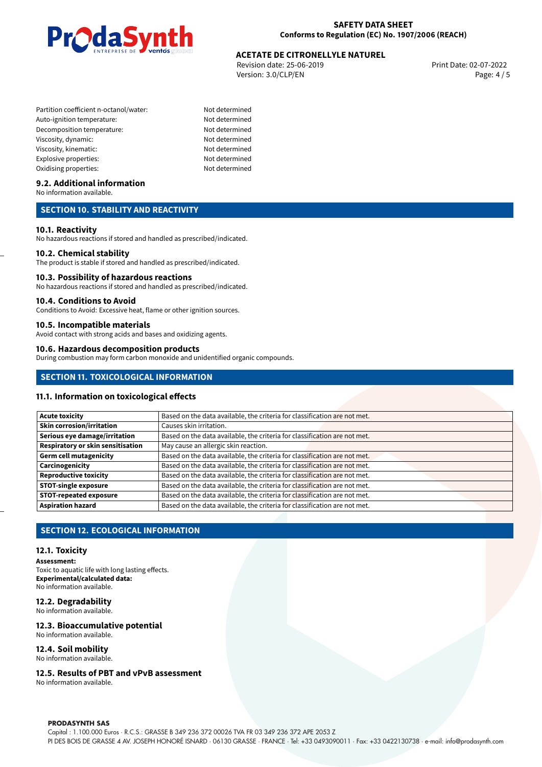

## **ACETATE DE CITRONELLYLE NATUREL**<br>
Revision date: 25-06-2019<br>
Print Date: 02-07-2022

Revision date: 25-06-2019 Version: 3.0/CLP/EN Page: 4 / 5

- Partition coefficient n-octanol/water: Not determined Auto-ignition temperature: Not determined Decomposition temperature: Not determined Viscosity, dynamic: Not determined Viscosity, kinematic: Not determined Explosive properties: Not determined Oxidising properties: Not determined
	-

#### **9.2. Additional information**

No information available.

#### **SECTION 10. STABILITY AND REACTIVITY**

#### **10.1. Reactivity**

No hazardous reactions if stored and handled as prescribed/indicated.

#### **10.2. Chemical stability**

The product is stable if stored and handled as prescribed/indicated.

#### **10.3. Possibility of hazardous reactions**

No hazardous reactions if stored and handled as prescribed/indicated.

#### **10.4. Conditions to Avoid**

Conditions to Avoid: Excessive heat, flame or other ignition sources.

#### **10.5. Incompatible materials**

Avoid contact with strong acids and bases and oxidizing agents.

#### **10.6. Hazardous decomposition products**

During combustion may form carbon monoxide and unidentified organic compounds.

#### **SECTION 11. TOXICOLOGICAL INFORMATION**

#### **11.1. Information on toxicological effects**

| <b>Acute toxicity</b>             | Based on the data available, the criteria for classification are not met. |
|-----------------------------------|---------------------------------------------------------------------------|
| <b>Skin corrosion/irritation</b>  | Causes skin irritation.                                                   |
| Serious eye damage/irritation     | Based on the data available, the criteria for classification are not met. |
| Respiratory or skin sensitisation | May cause an allergic skin reaction.                                      |
| <b>Germ cell mutagenicity</b>     | Based on the data available, the criteria for classification are not met. |
| Carcinogenicity                   | Based on the data available, the criteria for classification are not met. |
| <b>Reproductive toxicity</b>      | Based on the data available, the criteria for classification are not met. |
| <b>STOT-single exposure</b>       | Based on the data available, the criteria for classification are not met. |
| <b>STOT-repeated exposure</b>     | Based on the data available, the criteria for classification are not met. |
| <b>Aspiration hazard</b>          | Based on the data available, the criteria for classification are not met. |

#### **SECTION 12. ECOLOGICAL INFORMATION**

#### **12.1. Toxicity**

**Assessment:**

Toxic to aquatic life with long lasting effects. **Experimental/calculated data:** No information available.

#### **12.2. Degradability**

No information available.

#### **12.3. Bioaccumulative potential**

No information available.

#### **12.4. Soil mobility**

No information available.

#### **12.5. Results of PBT and vPvB assessment**

No information available.

#### **PRODASYNTH SAS**

Capital : 1.100.000 Euros · R.C.S.: GRASSE B 349 236 372 00026 TVA FR 03 349 236 372 APE 2053 Z PI DES BOIS DE GRASSE 4 AV. JOSEPH HONORÉ ISNARD · 06130 GRASSE · FRANCE · Tel: +33 0493090011 · Fax: +33 0422130738 · e-mail: info@prodasynth.com